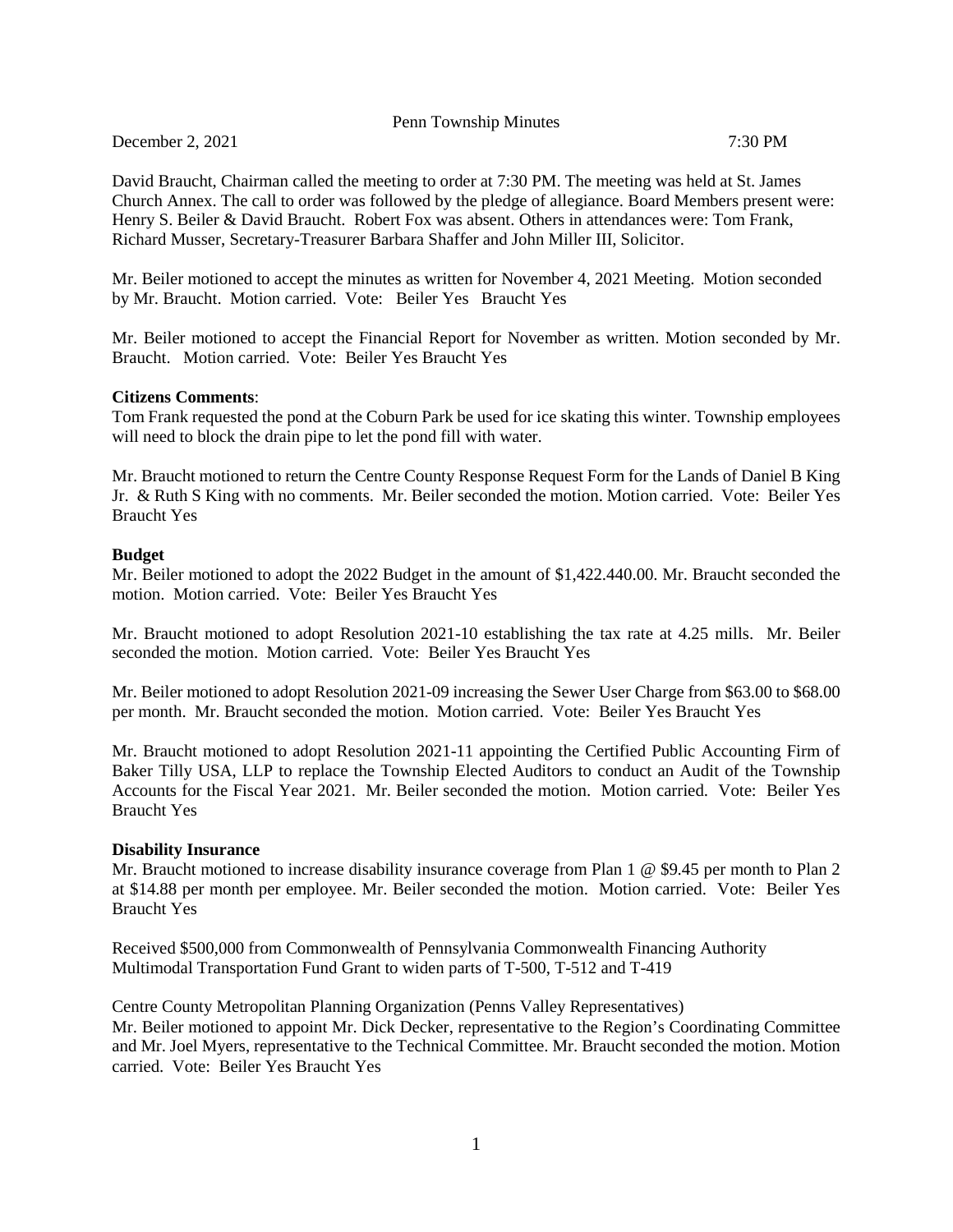Penn Township Minutes

December 2, 2021 7:30 PM

David Braucht, Chairman called the meeting to order at 7:30 PM. The meeting was held at St. James Church Annex. The call to order was followed by the pledge of allegiance. Board Members present were: Henry S. Beiler & David Braucht. Robert Fox was absent. Others in attendances were: Tom Frank, Richard Musser, Secretary-Treasurer Barbara Shaffer and John Miller III, Solicitor.

Mr. Beiler motioned to accept the minutes as written for November 4, 2021 Meeting. Motion seconded by Mr. Braucht. Motion carried. Vote: Beiler Yes Braucht Yes

Mr. Beiler motioned to accept the Financial Report for November as written. Motion seconded by Mr. Braucht. Motion carried. Vote: Beiler Yes Braucht Yes

#### **Citizens Comments**:

Tom Frank requested the pond at the Coburn Park be used for ice skating this winter. Township employees will need to block the drain pipe to let the pond fill with water.

Mr. Braucht motioned to return the Centre County Response Request Form for the Lands of Daniel B King Jr. & Ruth S King with no comments. Mr. Beiler seconded the motion. Motion carried. Vote: Beiler Yes Braucht Yes

## **Budget**

Mr. Beiler motioned to adopt the 2022 Budget in the amount of \$1,422.440.00. Mr. Braucht seconded the motion. Motion carried. Vote: Beiler Yes Braucht Yes

Mr. Braucht motioned to adopt Resolution 2021-10 establishing the tax rate at 4.25 mills. Mr. Beiler seconded the motion. Motion carried. Vote: Beiler Yes Braucht Yes

Mr. Beiler motioned to adopt Resolution 2021-09 increasing the Sewer User Charge from \$63.00 to \$68.00 per month. Mr. Braucht seconded the motion. Motion carried. Vote: Beiler Yes Braucht Yes

Mr. Braucht motioned to adopt Resolution 2021-11 appointing the Certified Public Accounting Firm of Baker Tilly USA, LLP to replace the Township Elected Auditors to conduct an Audit of the Township Accounts for the Fiscal Year 2021. Mr. Beiler seconded the motion. Motion carried. Vote: Beiler Yes Braucht Yes

#### **Disability Insurance**

Mr. Braucht motioned to increase disability insurance coverage from Plan 1 @ \$9.45 per month to Plan 2 at \$14.88 per month per employee. Mr. Beiler seconded the motion. Motion carried. Vote: Beiler Yes Braucht Yes

Received \$500,000 from Commonwealth of Pennsylvania Commonwealth Financing Authority Multimodal Transportation Fund Grant to widen parts of T-500, T-512 and T-419

Centre County Metropolitan Planning Organization (Penns Valley Representatives) Mr. Beiler motioned to appoint Mr. Dick Decker, representative to the Region's Coordinating Committee and Mr. Joel Myers, representative to the Technical Committee. Mr. Braucht seconded the motion. Motion carried. Vote: Beiler Yes Braucht Yes